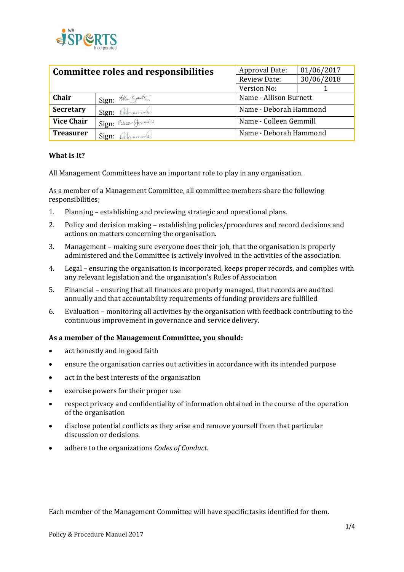

| Committee roles and responsibilities |                        | <b>Approval Date:</b>  | 01/06/2017 |
|--------------------------------------|------------------------|------------------------|------------|
|                                      |                        | Review Date:           | 30/06/2018 |
|                                      |                        | Version No:            |            |
| Chair                                | Sign: the Bunt         | Name - Allison Burnett |            |
| <b>Secretary</b>                     | Sign: Olanmond         | Name - Deborah Hammond |            |
| <b>Vice Chair</b>                    | Sign: Colleen Gernmill | Name - Colleen Gemmill |            |
| <b>Treasurer</b>                     | Sign: Alanmond         | Name - Deborah Hammond |            |

#### **What is It?**

All Management Committees have an important role to play in any organisation.

As a member of a Management Committee, all committee members share the following responsibilities;

- 1. Planning establishing and reviewing strategic and operational plans.
- 2. Policy and decision making establishing policies/procedures and record decisions and actions on matters concerning the organisation.
- 3. Management making sure everyone does their job, that the organisation is properly administered and the Committee is actively involved in the activities of the association.
- 4. Legal ensuring the organisation is incorporated, keeps proper records, and complies with any relevant legislation and the organisation's Rules of Association
- 5. Financial ensuring that all finances are properly managed, that records are audited annually and that accountability requirements of funding providers are fulfilled
- 6. Evaluation monitoring all activities by the organisation with feedback contributing to the continuous improvement in governance and service delivery.

#### As a member of the Management Committee, you should:

- act honestly and in good faith
- ensure the organisation carries out activities in accordance with its intended purpose
- act in the best interests of the organisation
- exercise powers for their proper use
- respect privacy and confidentiality of information obtained in the course of the operation of the organisation
- disclose potential conflicts as they arise and remove yourself from that particular discussion or decisions.
- adhere to the organizations *Codes of Conduct*.

Each member of the Management Committee will have specific tasks identified for them.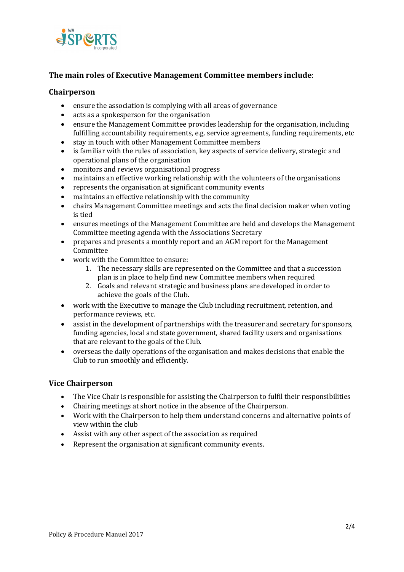

# The main roles of Executive Management Committee members include:

## **Chairperson**

- $\bullet$  ensure the association is complying with all areas of governance
- $\bullet$  acts as a spokesperson for the organisation
- ensure the Management Committee provides leadership for the organisation, including fulfilling accountability requirements, e.g. service agreements, funding requirements, etc
- stay in touch with other Management Committee members
- is familiar with the rules of association, key aspects of service delivery, strategic and operational plans of the organisation
- monitors and reviews organisational progress
- maintains an effective working relationship with the volunteers of the organisations
- represents the organisation at significant community events
- maintains an effective relationship with the community
- chairs Management Committee meetings and acts the final decision maker when voting is tied
- ensures meetings of the Management Committee are held and develops the Management Committee meeting agenda with the Associations Secretary
- prepares and presents a monthly report and an AGM report for the Management Committee
- work with the Committee to ensure:
	- 1. The necessary skills are represented on the Committee and that a succession plan is in place to help find new Committee members when required
	- 2. Goals and relevant strategic and business plans are developed in order to achieve the goals of the Club.
- work with the Executive to manage the Club including recruitment, retention, and performance reviews, etc.
- assist in the development of partnerships with the treasurer and secretary for sponsors, funding agencies, local and state government, shared facility users and organisations that are relevant to the goals of the Club.
- overseas the daily operations of the organisation and makes decisions that enable the Club to run smoothly and efficiently.

## **Vice Chairperson**

- The Vice Chair is responsible for assisting the Chairperson to fulfil their responsibilities
- Chairing meetings at short notice in the absence of the Chairperson.
- Work with the Chairperson to help them understand concerns and alternative points of view within the club
- Assist with any other aspect of the association as required
- Represent the organisation at significant community events.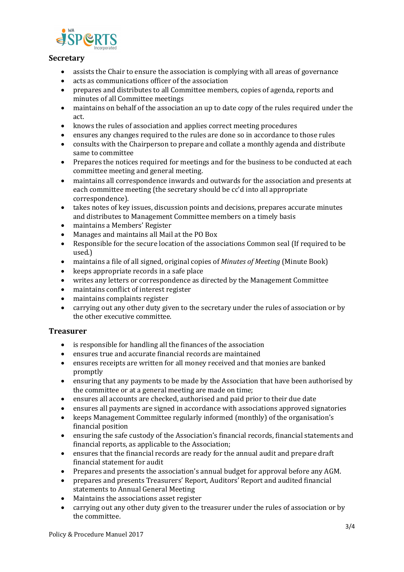

#### **Secretary**

- assists the Chair to ensure the association is complying with all areas of governance
- $\bullet$  acts as communications officer of the association
- prepares and distributes to all Committee members, copies of agenda, reports and minutes of all Committee meetings
- maintains on behalf of the association an up to date copy of the rules required under the act.
- knows the rules of association and applies correct meeting procedures
- ensures any changes required to the rules are done so in accordance to those rules
- consults with the Chairperson to prepare and collate a monthly agenda and distribute same to committee
- Prepares the notices required for meetings and for the business to be conducted at each committee meeting and general meeting.
- maintains all correspondence inwards and outwards for the association and presents at each committee meeting (the secretary should be cc'd into all appropriate correspondence).
- takes notes of key issues, discussion points and decisions, prepares accurate minutes and distributes to Management Committee members on a timely basis
- maintains a Members' Register
- Manages and maintains all Mail at the PO Box
- Responsible for the secure location of the associations Common seal (If required to be used.)
- maintains a file of all signed, original copies of *Minutes of Meeting* (Minute Book)
- $\bullet$  keeps appropriate records in a safe place
- writes any letters or correspondence as directed by the Management Committee
- maintains conflict of interest register
- maintains complaints register
- carrying out any other duty given to the secretary under the rules of association or by the other executive committee.

## **Treasurer**

- $\bullet$  is responsible for handling all the finances of the association
- $\bullet$  ensures true and accurate financial records are maintained
- ensures receipts are written for all money received and that monies are banked promptly
- ensuring that any payments to be made by the Association that have been authorised by the committee or at a general meeting are made on time;
- ensures all accounts are checked, authorised and paid prior to their due date
- ensures all payments are signed in accordance with associations approved signatories
- keeps Management Committee regularly informed (monthly) of the organisation's financial position
- ensuring the safe custody of the Association's financial records, financial statements and financial reports, as applicable to the Association;
- ensures that the financial records are ready for the annual audit and prepare draft financial statement for audit
- Prepares and presents the association's annual budget for approval before any AGM.
- prepares and presents Treasurers' Report, Auditors' Report and audited financial statements to Annual General Meeting
- Maintains the associations asset register
- carrying out any other duty given to the treasurer under the rules of association or by the committee.